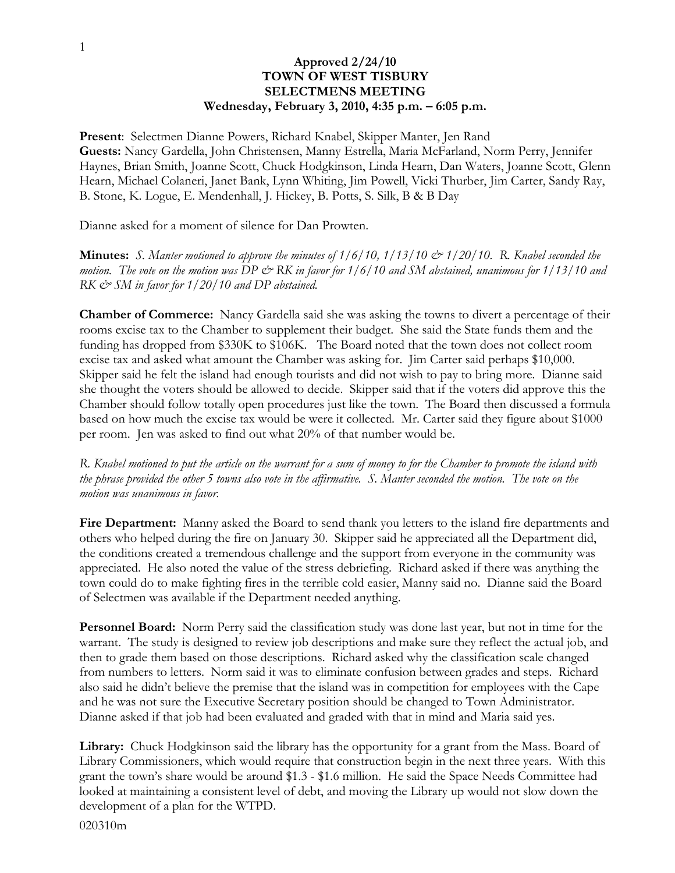## **Approved 2/24/10 TOWN OF WEST TISBURY SELECTMENS MEETING Wednesday, February 3, 2010, 4:35 p.m. – 6:05 p.m.**

**Present**: Selectmen Dianne Powers, Richard Knabel, Skipper Manter, Jen Rand **Guests:** Nancy Gardella, John Christensen, Manny Estrella, Maria McFarland, Norm Perry, Jennifer Haynes, Brian Smith, Joanne Scott, Chuck Hodgkinson, Linda Hearn, Dan Waters, Joanne Scott, Glenn Hearn, Michael Colaneri, Janet Bank, Lynn Whiting, Jim Powell, Vicki Thurber, Jim Carter, Sandy Ray, B. Stone, K. Logue, E. Mendenhall, J. Hickey, B. Potts, S. Silk, B & B Day

Dianne asked for a moment of silence for Dan Prowten.

**Minutes:** *S. Manter motioned to approve the minutes of 1/6/10, 1/13/10 & 1/20/10. R. Knabel seconded the motion.* The vote on the motion was DP  $\dot{\mathcal{O}}$  RK in favor for 1/6/10 and SM abstained, unanimous for 1/13/10 and *RK & SM in favor for 1/20/10 and DP abstained.*

**Chamber of Commerce:** Nancy Gardella said she was asking the towns to divert a percentage of their rooms excise tax to the Chamber to supplement their budget. She said the State funds them and the funding has dropped from \$330K to \$106K. The Board noted that the town does not collect room excise tax and asked what amount the Chamber was asking for. Jim Carter said perhaps \$10,000. Skipper said he felt the island had enough tourists and did not wish to pay to bring more. Dianne said she thought the voters should be allowed to decide. Skipper said that if the voters did approve this the Chamber should follow totally open procedures just like the town. The Board then discussed a formula based on how much the excise tax would be were it collected. Mr. Carter said they figure about \$1000 per room. Jen was asked to find out what 20% of that number would be.

*R. Knabel motioned to put the article on the warrant for a sum of money to for the Chamber to promote the island with the phrase provided the other 5 towns also vote in the affirmative. S. Manter seconded the motion. The vote on the motion was unanimous in favor.*

**Fire Department:** Manny asked the Board to send thank you letters to the island fire departments and others who helped during the fire on January 30. Skipper said he appreciated all the Department did, the conditions created a tremendous challenge and the support from everyone in the community was appreciated. He also noted the value of the stress debriefing. Richard asked if there was anything the town could do to make fighting fires in the terrible cold easier, Manny said no. Dianne said the Board of Selectmen was available if the Department needed anything.

**Personnel Board:** Norm Perry said the classification study was done last year, but not in time for the warrant. The study is designed to review job descriptions and make sure they reflect the actual job, and then to grade them based on those descriptions. Richard asked why the classification scale changed from numbers to letters. Norm said it was to eliminate confusion between grades and steps. Richard also said he didn't believe the premise that the island was in competition for employees with the Cape and he was not sure the Executive Secretary position should be changed to Town Administrator. Dianne asked if that job had been evaluated and graded with that in mind and Maria said yes.

**Library:** Chuck Hodgkinson said the library has the opportunity for a grant from the Mass. Board of Library Commissioners, which would require that construction begin in the next three years. With this grant the town's share would be around \$1.3 - \$1.6 million. He said the Space Needs Committee had looked at maintaining a consistent level of debt, and moving the Library up would not slow down the development of a plan for the WTPD.

020310m